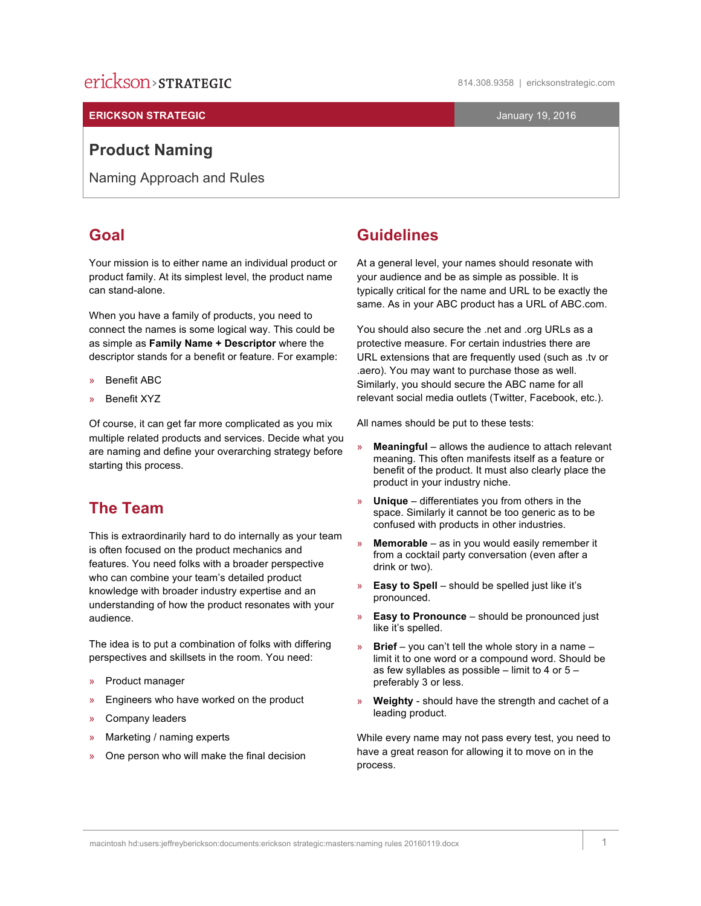# erickson>strategic

#### **ERICKSON STRATEGIC CONSERVERSION CONSERVERSION CONSERVERSION CONSERVERSION CONSERVERSION CONSERVERSION CONSERVERSION CONSERVERSION CONSERVERSION CONSERVERSION CONSERVERSION CONSERVERSION CONSERVERSION CONSERVERSION CONS**

### **Product Naming**

Naming Approach and Rules

### **Goal**

Your mission is to either name an individual product or product family. At its simplest level, the product name can stand-alone.

When you have a family of products, you need to connect the names is some logical way. This could be as simple as **Family Name + Descriptor** where the descriptor stands for a benefit or feature. For example:

- » Benefit ABC
- » Benefit XYZ

Of course, it can get far more complicated as you mix multiple related products and services. Decide what you are naming and define your overarching strategy before starting this process.

### **The Team**

This is extraordinarily hard to do internally as your team is often focused on the product mechanics and features. You need folks with a broader perspective who can combine your team's detailed product knowledge with broader industry expertise and an understanding of how the product resonates with your audience.

The idea is to put a combination of folks with differing perspectives and skillsets in the room. You need:

- » Product manager
- » Engineers who have worked on the product
- » Company leaders
- » Marketing / naming experts
- » One person who will make the final decision

### **Guidelines**

At a general level, your names should resonate with your audience and be as simple as possible. It is typically critical for the name and URL to be exactly the same. As in your ABC product has a URL of ABC.com.

You should also secure the .net and .org URLs as a protective measure. For certain industries there are URL extensions that are frequently used (such as .tv or .aero). You may want to purchase those as well. Similarly, you should secure the ABC name for all relevant social media outlets (Twitter, Facebook, etc.).

All names should be put to these tests:

- » **Meaningful** allows the audience to attach relevant meaning. This often manifests itself as a feature or benefit of the product. It must also clearly place the product in your industry niche.
- » **Unique** differentiates you from others in the space. Similarly it cannot be too generic as to be confused with products in other industries.
- » **Memorable** as in you would easily remember it from a cocktail party conversation (even after a drink or two).
- » **Easy to Spell** should be spelled just like it's pronounced.
- » **Easy to Pronounce** should be pronounced just like it's spelled.
- » **Brief** you can't tell the whole story in a name limit it to one word or a compound word. Should be as few syllables as possible – limit to 4 or 5 – preferably 3 or less.
- » **Weighty** should have the strength and cachet of a leading product.

While every name may not pass every test, you need to have a great reason for allowing it to move on in the process.

macintosh hd:users:jeffreyberickson:documents:erickson strategic:masters:naming rules 20160119.docx 1

814.308.9358 | ericksonstrategic.com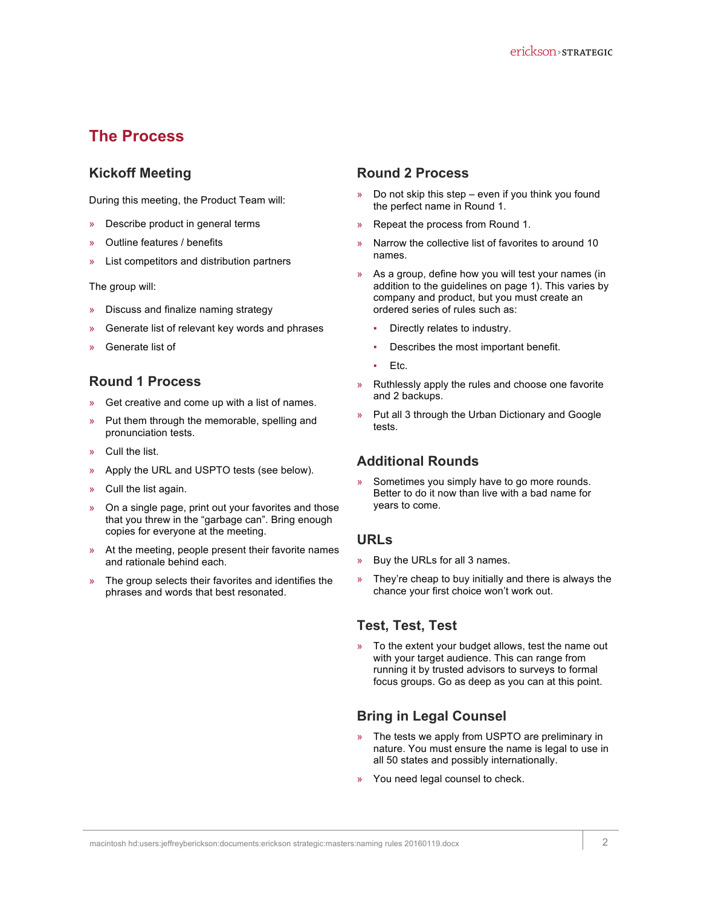### **The Process**

### **Kickoff Meeting**

During this meeting, the Product Team will:

- » Describe product in general terms
- » Outline features / benefits
- » List competitors and distribution partners

The group will:

- » Discuss and finalize naming strategy
- Generate list of relevant key words and phrases
- Generate list of

#### **Round 1 Process**

- » Get creative and come up with a list of names.
- » Put them through the memorable, spelling and pronunciation tests.
- » Cull the list.
- » Apply the URL and USPTO tests (see below).
- » Cull the list again.
- » On a single page, print out your favorites and those that you threw in the "garbage can". Bring enough copies for everyone at the meeting.
- » At the meeting, people present their favorite names and rationale behind each.
- » The group selects their favorites and identifies the phrases and words that best resonated.

#### **Round 2 Process**

- » Do not skip this step even if you think you found the perfect name in Round 1.
- » Repeat the process from Round 1.
- » Narrow the collective list of favorites to around 10 names.
- » As a group, define how you will test your names (in addition to the guidelines on page 1). This varies by company and product, but you must create an ordered series of rules such as:
	- Directly relates to industry.
	- Describes the most important benefit.
	- Etc.
- » Ruthlessly apply the rules and choose one favorite and 2 backups.
- » Put all 3 through the Urban Dictionary and Google tests.

#### **Additional Rounds**

» Sometimes you simply have to go more rounds. Better to do it now than live with a bad name for years to come.

#### **URLs**

- » Buy the URLs for all 3 names.
- » They're cheap to buy initially and there is always the chance your first choice won't work out.

#### **Test, Test, Test**

» To the extent your budget allows, test the name out with your target audience. This can range from running it by trusted advisors to surveys to formal focus groups. Go as deep as you can at this point.

### **Bring in Legal Counsel**

- » The tests we apply from USPTO are preliminary in nature. You must ensure the name is legal to use in all 50 states and possibly internationally.
- » You need legal counsel to check.